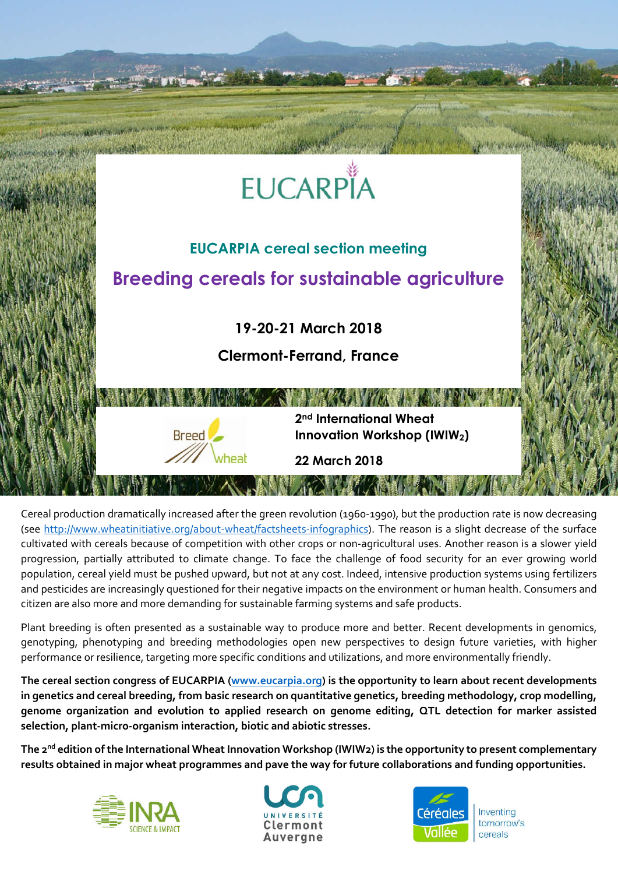

Cereal production dramatically increased after the green revolution (1960-1990), but the production rate is now decreasing (see http://www.wheatinitiative.org/about-wheat/factsheets-infographics). The reason is a slight decrease of the surface cultivated with cereals because of competition with other crops or non-agricultural uses. Another reason is a slower yield progression, partially attributed to climate change. To face the challenge of food security for an ever growing world population, cereal yield must be pushed upward, but not at any cost. Indeed, intensive production systems using fertilizers and pesticides are increasingly questioned for their negative impacts on the environment or human health. Consumers and citizen are also more and more demanding for sustainable farming systems and safe products.

Plant breeding is often presented as a sustainable way to produce more and better. Recent developments in genomics, genotyping, phenotyping and breeding methodologies open new perspectives to design future varieties, with higher performance or resilience, targeting more specific conditions and utilizations, and more environmentally friendly.

**The cereal section congress of EUCARPIA (www.eucarpia.org) is the opportunity to learn about recent developments in genetics and cereal breeding, from basic research on quantitative genetics, breeding methodology, crop modelling, genome organization and evolution to applied research on genome editing, QTL detection for marker assisted selection, plant-micro-organism interaction, biotic and abiotic stresses.**

**The 2nd edition of the International Wheat Innovation Workshop (IWIW2) is the opportunity to present complementary results obtained in major wheat programmes and pave the way for future collaborations and funding opportunities.**